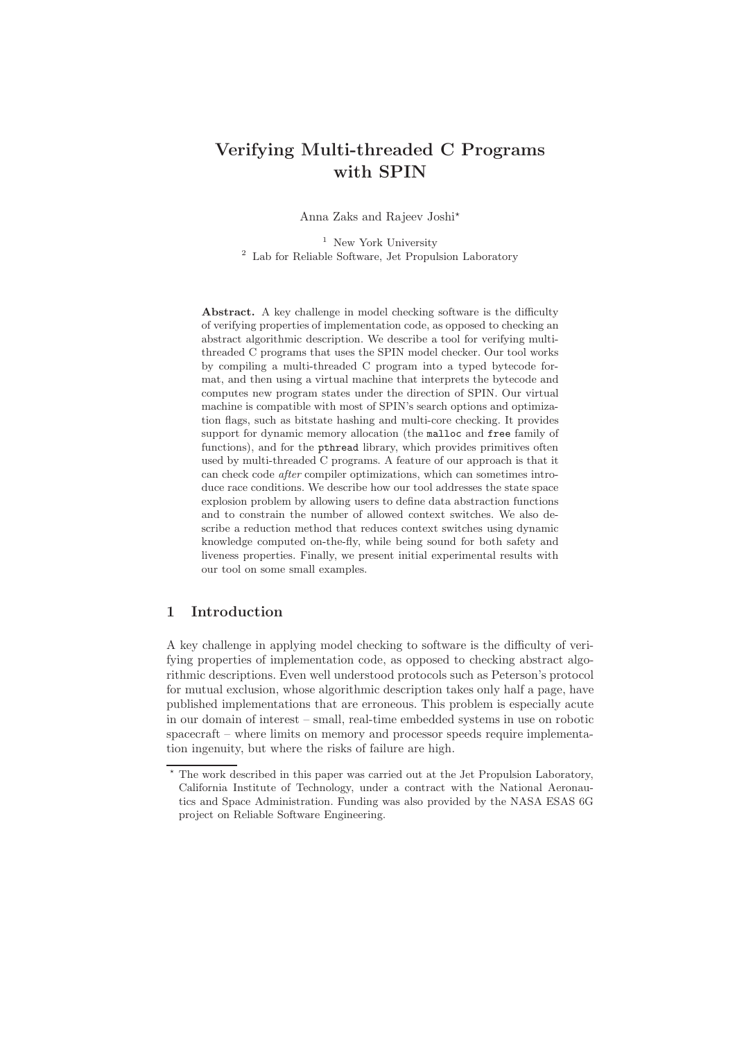# Verifying Multi-threaded C Programs with SPIN

Anna Zaks and Rajeev Joshi\*

<sup>1</sup> New York University <sup>2</sup> Lab for Reliable Software, Jet Propulsion Laboratory

Abstract. A key challenge in model checking software is the difficulty of verifying properties of implementation code, as opposed to checking an abstract algorithmic description. We describe a tool for verifying multithreaded C programs that uses the SPIN model checker. Our tool works by compiling a multi-threaded C program into a typed bytecode format, and then using a virtual machine that interprets the bytecode and computes new program states under the direction of SPIN. Our virtual machine is compatible with most of SPIN's search options and optimization flags, such as bitstate hashing and multi-core checking. It provides support for dynamic memory allocation (the malloc and free family of functions), and for the pthread library, which provides primitives often used by multi-threaded C programs. A feature of our approach is that it can check code after compiler optimizations, which can sometimes introduce race conditions. We describe how our tool addresses the state space explosion problem by allowing users to define data abstraction functions and to constrain the number of allowed context switches. We also describe a reduction method that reduces context switches using dynamic knowledge computed on-the-fly, while being sound for both safety and liveness properties. Finally, we present initial experimental results with our tool on some small examples.

### 1 Introduction

A key challenge in applying model checking to software is the difficulty of verifying properties of implementation code, as opposed to checking abstract algorithmic descriptions. Even well understood protocols such as Peterson's protocol for mutual exclusion, whose algorithmic description takes only half a page, have published implementations that are erroneous. This problem is especially acute in our domain of interest – small, real-time embedded systems in use on robotic spacecraft – where limits on memory and processor speeds require implementation ingenuity, but where the risks of failure are high.

<sup>⋆</sup> The work described in this paper was carried out at the Jet Propulsion Laboratory, California Institute of Technology, under a contract with the National Aeronautics and Space Administration. Funding was also provided by the NASA ESAS 6G project on Reliable Software Engineering.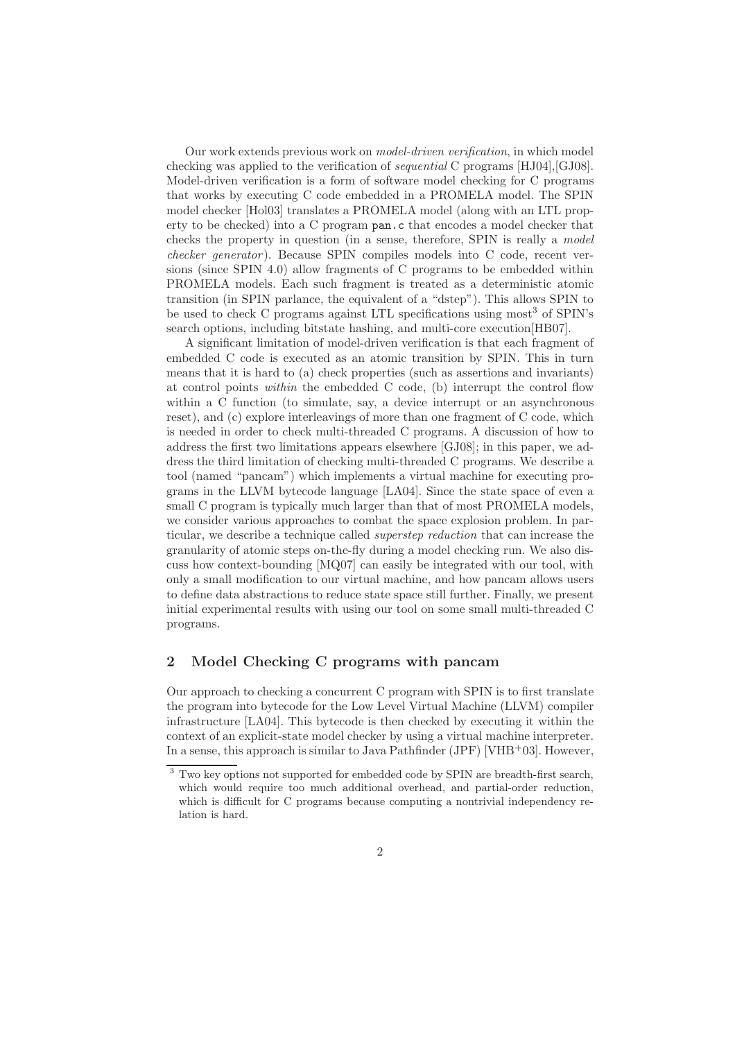Our work extends previous work on model-driven verification, in which model checking was applied to the verification of sequential C programs [HJ04],[GJ08]. Model-driven verification is a form of software model checking for C programs that works by executing C code embedded in a PROMELA model. The SPIN model checker [Hol03] translates a PROMELA model (along with an LTL property to be checked) into a C program pan.c that encodes a model checker that checks the property in question (in a sense, therefore, SPIN is really a model checker generator ). Because SPIN compiles models into C code, recent versions (since SPIN 4.0) allow fragments of C programs to be embedded within PROMELA models. Each such fragment is treated as a deterministic atomic transition (in SPIN parlance, the equivalent of a "dstep"). This allows SPIN to be used to check C programs against LTL specifications using most<sup>3</sup> of SPIN's search options, including bitstate hashing, and multi-core execution[HB07].

A significant limitation of model-driven verification is that each fragment of embedded C code is executed as an atomic transition by SPIN. This in turn means that it is hard to (a) check properties (such as assertions and invariants) at control points within the embedded C code, (b) interrupt the control flow within a C function (to simulate, say, a device interrupt or an asynchronous reset), and (c) explore interleavings of more than one fragment of C code, which is needed in order to check multi-threaded C programs. A discussion of how to address the first two limitations appears elsewhere [GJ08]; in this paper, we address the third limitation of checking multi-threaded C programs. We describe a tool (named "pancam") which implements a virtual machine for executing programs in the LLVM bytecode language [LA04]. Since the state space of even a small C program is typically much larger than that of most PROMELA models, we consider various approaches to combat the space explosion problem. In particular, we describe a technique called superstep reduction that can increase the granularity of atomic steps on-the-fly during a model checking run. We also discuss how context-bounding [MQ07] can easily be integrated with our tool, with only a small modification to our virtual machine, and how pancam allows users to define data abstractions to reduce state space still further. Finally, we present initial experimental results with using our tool on some small multi-threaded C programs.

## 2 Model Checking C programs with pancam

Our approach to checking a concurrent C program with SPIN is to first translate the program into bytecode for the Low Level Virtual Machine (LLVM) compiler infrastructure [LA04]. This bytecode is then checked by executing it within the context of an explicit-state model checker by using a virtual machine interpreter. In a sense, this approach is similar to Java Pathfinder  $(JPF)$  [VHB+03]. However,

<sup>3</sup> Two key options not supported for embedded code by SPIN are breadth-first search, which would require too much additional overhead, and partial-order reduction, which is difficult for C programs because computing a nontrivial independency relation is hard.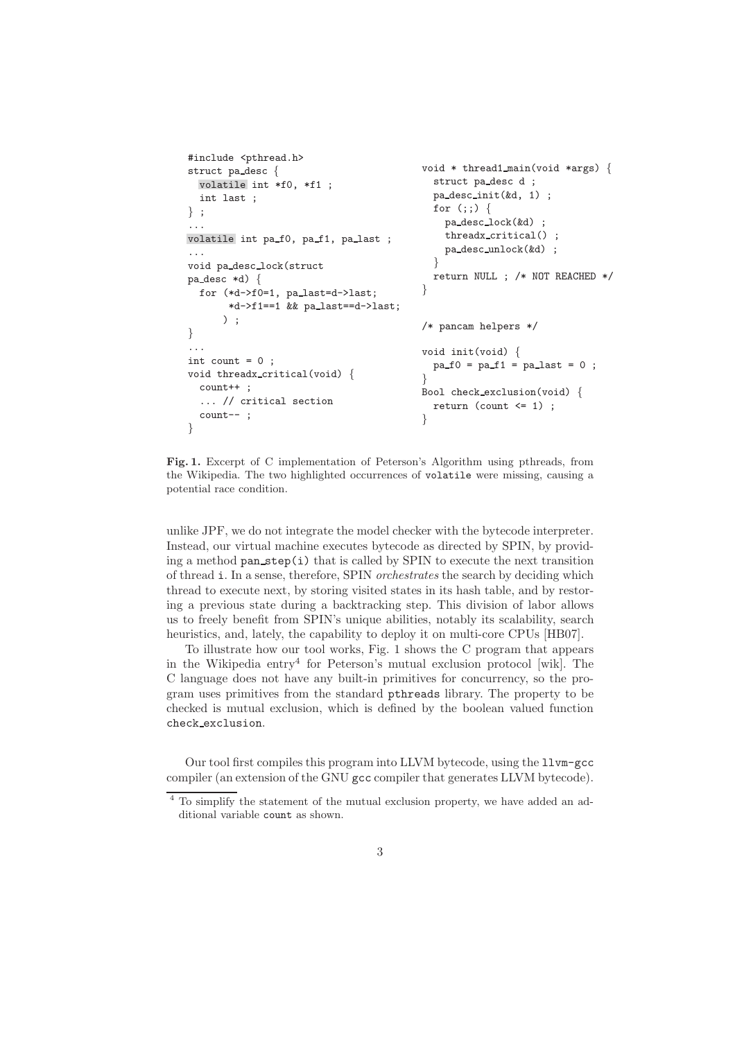```
#include <pthread.h>
struct pa desc {
  volatile int *f0, *f1 ;
  int last ;
} ;
...
volatile int pa f0, pa f1, pa last ;
...
void pa desc lock(struct
pa desc *d) {
  for (*d \rightarrow f0=1, palast=d \rightarrow last;*d->f1==1 && pa_last==d->last;
      ) ;
}
...
int count = 0;
void threadx critical(void) {
  count++ ;
  ... // critical section
  count-- ;
}
                                           void * thread1 main(void *args) {
                                             struct pa desc d ;
                                             pa desc init(&d, 1) ;
                                             for (j; ) {
                                                pa desc lock(&d) ;
                                                threadx critical() ;
                                                pa desc unlock(&d) ;
                                              }
                                             return NULL ; /* NOT REACHED */
                                           }
                                           /* pancam helpers */
                                           void init(void) {
                                             pa_f0 = pa_f1 = pa_last = 0;
                                            }
                                           Bool check exclusion(void) {
                                             return (count \leq 1) ;
                                           }
```
Fig. 1. Excerpt of C implementation of Peterson's Algorithm using pthreads, from the Wikipedia. The two highlighted occurrences of volatile were missing, causing a potential race condition.

unlike JPF, we do not integrate the model checker with the bytecode interpreter. Instead, our virtual machine executes bytecode as directed by SPIN, by providing a method  $\text{pan\_step}(i)$  that is called by SPIN to execute the next transition of thread i. In a sense, therefore, SPIN orchestrates the search by deciding which thread to execute next, by storing visited states in its hash table, and by restoring a previous state during a backtracking step. This division of labor allows us to freely benefit from SPIN's unique abilities, notably its scalability, search heuristics, and, lately, the capability to deploy it on multi-core CPUs [HB07].

To illustrate how our tool works, Fig. 1 shows the C program that appears in the Wikipedia entry<sup>4</sup> for Peterson's mutual exclusion protocol [wik]. The C language does not have any built-in primitives for concurrency, so the program uses primitives from the standard pthreads library. The property to be checked is mutual exclusion, which is defined by the boolean valued function check exclusion.

Our tool first compiles this program into LLVM bytecode, using the llvm-gcc compiler (an extension of the GNU gcc compiler that generates LLVM bytecode).

<sup>4</sup> To simplify the statement of the mutual exclusion property, we have added an additional variable count as shown.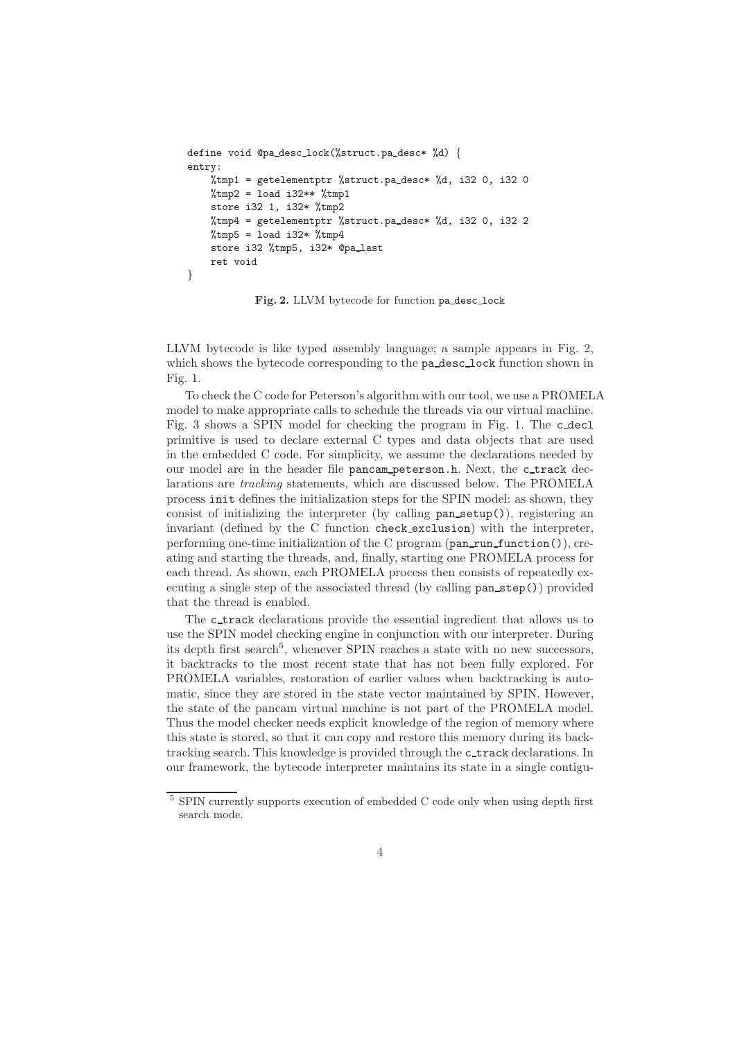```
define void @pa desc lock(%struct.pa desc* %d) {
entry:
    %tmp1 = getelementptr %struct.pa desc* %d, i32 0, i32 0
    %tmp2 = load i32** %tmp1store i32 1, i32* %tmp2
    %tmp4 = getelementptr %struct.pa desc* %d, i32 0, i32 2
    %tmp5 = load i32* %tmp4store i32 %tmp5, i32* @pa_last
    ret void
}
```
Fig. 2. LLVM bytecode for function pa desc lock

LLVM bytecode is like typed assembly language; a sample appears in Fig. 2, which shows the bytecode corresponding to the pa desc<sub>rback</sub> function shown in Fig. 1.

To check the C code for Peterson's algorithm with our tool, we use a PROMELA model to make appropriate calls to schedule the threads via our virtual machine. Fig. 3 shows a SPIN model for checking the program in Fig. 1. The c\_decl primitive is used to declare external C types and data objects that are used in the embedded C code. For simplicity, we assume the declarations needed by our model are in the header file pancam peterson.h. Next, the c\_track declarations are tracking statements, which are discussed below. The PROMELA process init defines the initialization steps for the SPIN model: as shown, they consist of initializing the interpreter (by calling pan setup()), registering an invariant (defined by the C function check exclusion) with the interpreter, performing one-time initialization of the C program  $(\text{pan\_run\_function}()),$  creating and starting the threads, and, finally, starting one PROMELA process for each thread. As shown, each PROMELA process then consists of repeatedly executing a single step of the associated thread (by calling  $\text{pan\_step}()$ ) provided that the thread is enabled.

The c\_track declarations provide the essential ingredient that allows us to use the SPIN model checking engine in conjunction with our interpreter. During its depth first search<sup>5</sup>, whenever SPIN reaches a state with no new successors, it backtracks to the most recent state that has not been fully explored. For PROMELA variables, restoration of earlier values when backtracking is automatic, since they are stored in the state vector maintained by SPIN. However, the state of the pancam virtual machine is not part of the PROMELA model. Thus the model checker needs explicit knowledge of the region of memory where this state is stored, so that it can copy and restore this memory during its backtracking search. This knowledge is provided through the c<sub>rack</sub> declarations. In our framework, the bytecode interpreter maintains its state in a single contigu-

<sup>5</sup> SPIN currently supports execution of embedded C code only when using depth first search mode.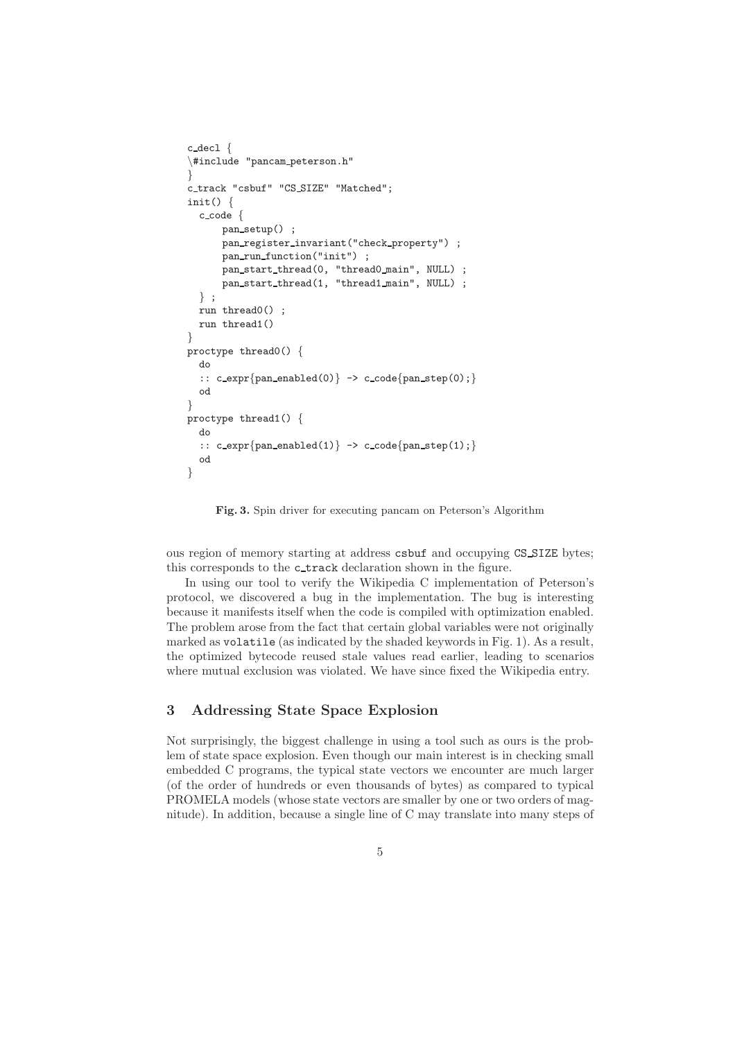```
c decl {
\#include "pancam peterson.h"
}
c track "csbuf" "CS SIZE" "Matched";
init() \{c code {
       pan setup() ;
       pan_register_invariant("check_property") ;
       pan_run_function("init") ;
       pan_start_thread(0, "thread0_main", NULL) ;
       pan_start_thread(1, "thread1_main", NULL) ;
  } ;
  run thread0() ;
  run thread1()
}
proctype thread0() {
  do
  :: c\text{-}expr\{pan\_enabeled(0)\} \rightarrow c\text{-}code\{pan\_step(0)\}od
}
proctype thread1() {
  do
  :: c\text{-}expr\{pan\text{-}enabeled(1)\} \rightarrow c\text{-}code\{pan\text{-}step(1)\}od
}
```
Fig. 3. Spin driver for executing pancam on Peterson's Algorithm

ous region of memory starting at address csbuf and occupying CS SIZE bytes; this corresponds to the **c\_track** declaration shown in the figure.

In using our tool to verify the Wikipedia C implementation of Peterson's protocol, we discovered a bug in the implementation. The bug is interesting because it manifests itself when the code is compiled with optimization enabled. The problem arose from the fact that certain global variables were not originally marked as volatile (as indicated by the shaded keywords in Fig. 1). As a result, the optimized bytecode reused stale values read earlier, leading to scenarios where mutual exclusion was violated. We have since fixed the Wikipedia entry.

### 3 Addressing State Space Explosion

Not surprisingly, the biggest challenge in using a tool such as ours is the problem of state space explosion. Even though our main interest is in checking small embedded C programs, the typical state vectors we encounter are much larger (of the order of hundreds or even thousands of bytes) as compared to typical PROMELA models (whose state vectors are smaller by one or two orders of magnitude). In addition, because a single line of C may translate into many steps of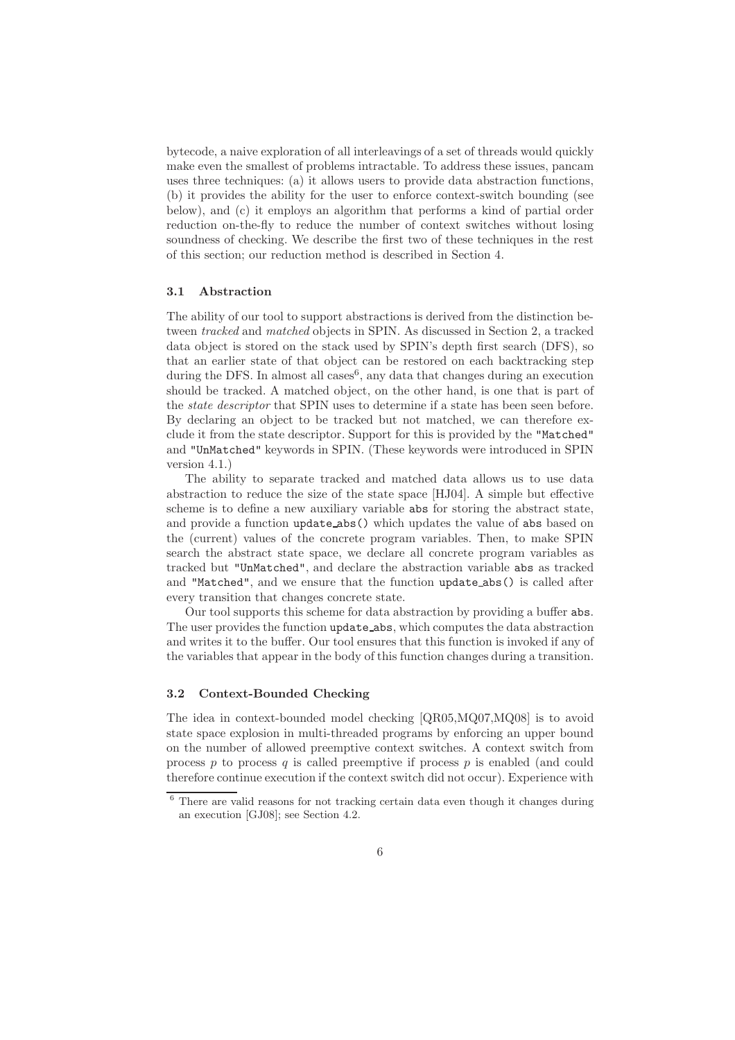bytecode, a naive exploration of all interleavings of a set of threads would quickly make even the smallest of problems intractable. To address these issues, pancam uses three techniques: (a) it allows users to provide data abstraction functions, (b) it provides the ability for the user to enforce context-switch bounding (see below), and (c) it employs an algorithm that performs a kind of partial order reduction on-the-fly to reduce the number of context switches without losing soundness of checking. We describe the first two of these techniques in the rest of this section; our reduction method is described in Section 4.

### 3.1 Abstraction

The ability of our tool to support abstractions is derived from the distinction between tracked and matched objects in SPIN. As discussed in Section 2, a tracked data object is stored on the stack used by SPIN's depth first search (DFS), so that an earlier state of that object can be restored on each backtracking step during the DFS. In almost all cases<sup>6</sup>, any data that changes during an execution should be tracked. A matched object, on the other hand, is one that is part of the *state descriptor* that SPIN uses to determine if a state has been seen before. By declaring an object to be tracked but not matched, we can therefore exclude it from the state descriptor. Support for this is provided by the "Matched" and "UnMatched" keywords in SPIN. (These keywords were introduced in SPIN version 4.1.)

The ability to separate tracked and matched data allows us to use data abstraction to reduce the size of the state space [HJ04]. A simple but effective scheme is to define a new auxiliary variable abs for storing the abstract state, and provide a function update abs() which updates the value of abs based on the (current) values of the concrete program variables. Then, to make SPIN search the abstract state space, we declare all concrete program variables as tracked but "UnMatched", and declare the abstraction variable abs as tracked and "Matched", and we ensure that the function update abs() is called after every transition that changes concrete state.

Our tool supports this scheme for data abstraction by providing a buffer abs. The user provides the function update abs, which computes the data abstraction and writes it to the buffer. Our tool ensures that this function is invoked if any of the variables that appear in the body of this function changes during a transition.

### 3.2 Context-Bounded Checking

The idea in context-bounded model checking [QR05,MQ07,MQ08] is to avoid state space explosion in multi-threaded programs by enforcing an upper bound on the number of allowed preemptive context switches. A context switch from process  $p$  to process  $q$  is called preemptive if process  $p$  is enabled (and could therefore continue execution if the context switch did not occur). Experience with

 $^{\rm 6}$  There are valid reasons for not tracking certain data even though it changes during an execution [GJ08]; see Section 4.2.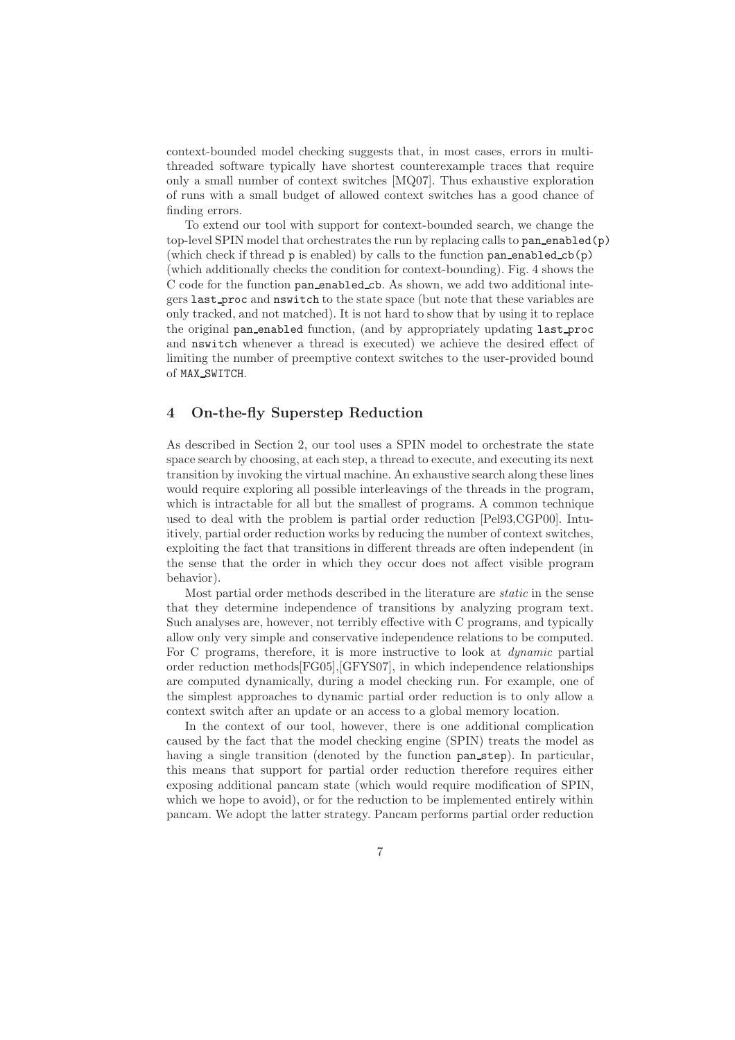context-bounded model checking suggests that, in most cases, errors in multithreaded software typically have shortest counterexample traces that require only a small number of context switches [MQ07]. Thus exhaustive exploration of runs with a small budget of allowed context switches has a good chance of finding errors.

To extend our tool with support for context-bounded search, we change the top-level SPIN model that orchestrates the run by replacing calls to pan enabled(p) (which check if thread p is enabled) by calls to the function pan enabled cb(p) (which additionally checks the condition for context-bounding). Fig. 4 shows the C code for the function pan enabled cb. As shown, we add two additional integers last proc and nswitch to the state space (but note that these variables are only tracked, and not matched). It is not hard to show that by using it to replace the original pan enabled function, (and by appropriately updating last proc and nswitch whenever a thread is executed) we achieve the desired effect of limiting the number of preemptive context switches to the user-provided bound of MAX SWITCH.

# 4 On-the-fly Superstep Reduction

As described in Section 2, our tool uses a SPIN model to orchestrate the state space search by choosing, at each step, a thread to execute, and executing its next transition by invoking the virtual machine. An exhaustive search along these lines would require exploring all possible interleavings of the threads in the program, which is intractable for all but the smallest of programs. A common technique used to deal with the problem is partial order reduction [Pel93,CGP00]. Intuitively, partial order reduction works by reducing the number of context switches, exploiting the fact that transitions in different threads are often independent (in the sense that the order in which they occur does not affect visible program behavior).

Most partial order methods described in the literature are static in the sense that they determine independence of transitions by analyzing program text. Such analyses are, however, not terribly effective with C programs, and typically allow only very simple and conservative independence relations to be computed. For C programs, therefore, it is more instructive to look at *dynamic* partial order reduction methods[FG05],[GFYS07], in which independence relationships are computed dynamically, during a model checking run. For example, one of the simplest approaches to dynamic partial order reduction is to only allow a context switch after an update or an access to a global memory location.

In the context of our tool, however, there is one additional complication caused by the fact that the model checking engine (SPIN) treats the model as having a single transition (denoted by the function pan step). In particular, this means that support for partial order reduction therefore requires either exposing additional pancam state (which would require modification of SPIN, which we hope to avoid), or for the reduction to be implemented entirely within pancam. We adopt the latter strategy. Pancam performs partial order reduction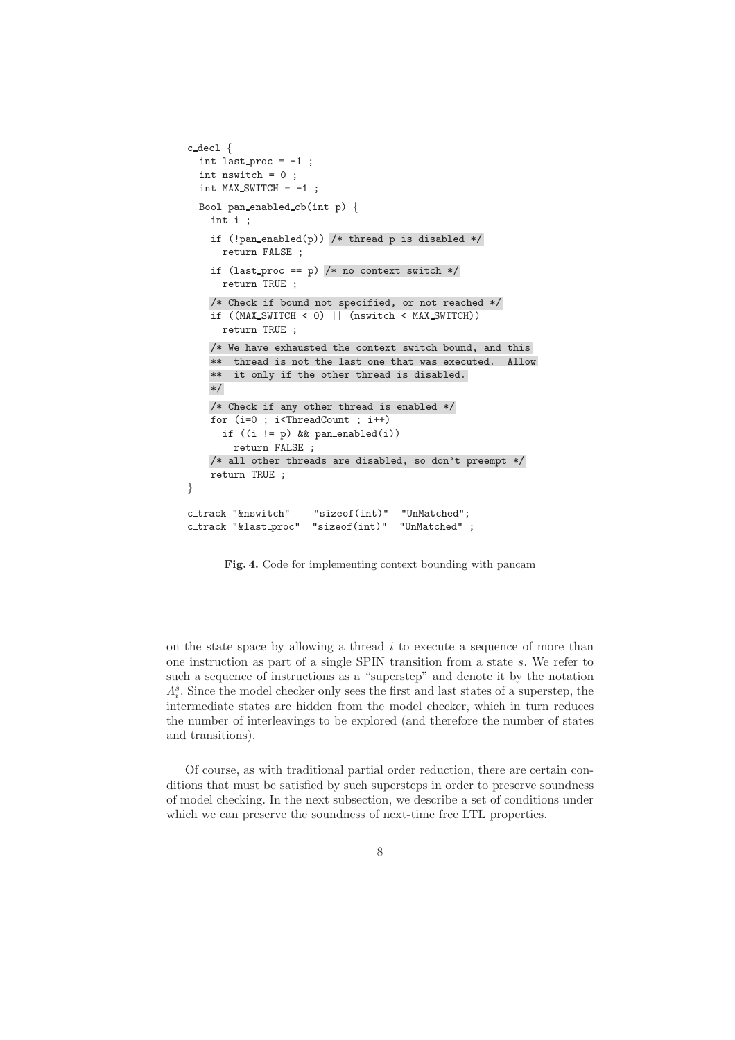```
c decl {
  int last_proc = -1 ;
  int nswitch = 0 ;
  int MAX_SWITCH = -1;
  Bool pan enabled cb(int p) {
    int i ;
    if (!pan_enabled(p)) /* thread p is disabled */
     return FALSE ;
    if (last_proc == p) /* no context switch */
      return TRUE ;
   /* Check if bound not specified, or not reached */
    if ((MAX SWITCH < 0) || (nswitch < MAX SWITCH))
     return TRUE ;
   /* We have exhausted the context switch bound, and this
    ** thread is not the last one that was executed. Allow
    ** it only if the other thread is disabled.
   */
   /* Check if any other thread is enabled */
   for (i=0 ; i<ThreadCount ; i++)
      if ((i \models p) && pan_enabled(i))return FALSE ;
   /* all other threads are disabled, so don't preempt */
    return TRUE ;
}
c track "&nswitch" "sizeof(int)" "UnMatched";
c track "&last proc" "sizeof(int)" "UnMatched" ;
```
Fig. 4. Code for implementing context bounding with pancam

on the state space by allowing a thread  $i$  to execute a sequence of more than one instruction as part of a single SPIN transition from a state s. We refer to such a sequence of instructions as a "superstep" and denote it by the notation  $\Lambda_i^s$ . Since the model checker only sees the first and last states of a superstep, the intermediate states are hidden from the model checker, which in turn reduces the number of interleavings to be explored (and therefore the number of states and transitions).

Of course, as with traditional partial order reduction, there are certain conditions that must be satisfied by such supersteps in order to preserve soundness of model checking. In the next subsection, we describe a set of conditions under which we can preserve the soundness of next-time free LTL properties.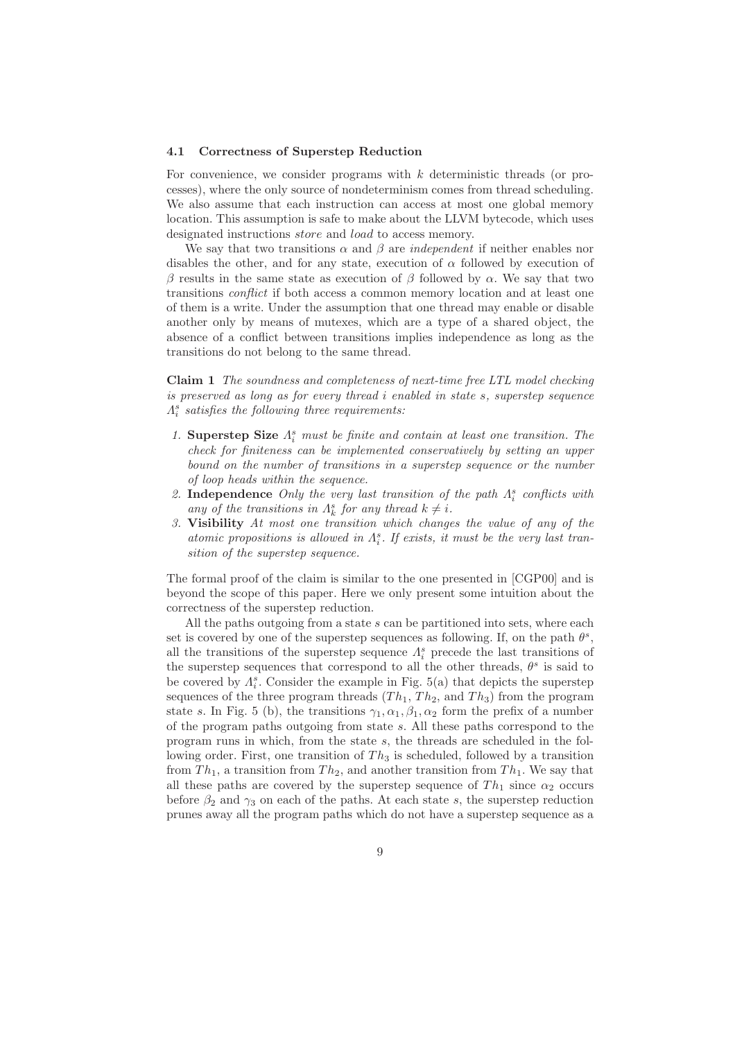#### 4.1 Correctness of Superstep Reduction

For convenience, we consider programs with  $k$  deterministic threads (or processes), where the only source of nondeterminism comes from thread scheduling. We also assume that each instruction can access at most one global memory location. This assumption is safe to make about the LLVM bytecode, which uses designated instructions store and load to access memory.

We say that two transitions  $\alpha$  and  $\beta$  are *independent* if neither enables nor disables the other, and for any state, execution of  $\alpha$  followed by execution of β results in the same state as execution of β followed by  $\alpha$ . We say that two transitions conflict if both access a common memory location and at least one of them is a write. Under the assumption that one thread may enable or disable another only by means of mutexes, which are a type of a shared object, the absence of a conflict between transitions implies independence as long as the transitions do not belong to the same thread.

Claim 1 The soundness and completeness of next-time free LTL model checking is preserved as long as for every thread i enabled in state s, superstep sequence  $\Lambda_i^s$  satisfies the following three requirements:

- 1. Superstep Size  $\Lambda_i^s$  must be finite and contain at least one transition. The check for finiteness can be implemented conservatively by setting an upper bound on the number of transitions in a superstep sequence or the number of loop heads within the sequence.
- 2. Independence Only the very last transition of the path  $\Lambda_i^s$  conflicts with any of the transitions in  $\Lambda_k^s$  for any thread  $k \neq i$ .
- 3. Visibility At most one transition which changes the value of any of the atomic propositions is allowed in  $\Lambda_i^s$ . If exists, it must be the very last transition of the superstep sequence.

The formal proof of the claim is similar to the one presented in [CGP00] and is beyond the scope of this paper. Here we only present some intuition about the correctness of the superstep reduction.

All the paths outgoing from a state s can be partitioned into sets, where each set is covered by one of the superstep sequences as following. If, on the path  $\theta^s$ , all the transitions of the superstep sequence  $\Lambda_i^s$  precede the last transitions of the superstep sequences that correspond to all the other threads,  $\theta^s$  is said to be covered by  $\Lambda_i^s$ . Consider the example in Fig. 5(a) that depicts the superstep sequences of the three program threads  $(Th_1, Th_2, \text{ and } Th_3)$  from the program state s. In Fig. 5 (b), the transitions  $\gamma_1, \alpha_1, \beta_1, \alpha_2$  form the prefix of a number of the program paths outgoing from state s. All these paths correspond to the program runs in which, from the state s, the threads are scheduled in the following order. First, one transition of  $Th_3$  is scheduled, followed by a transition from  $Th_1$ , a transition from  $Th_2$ , and another transition from  $Th_1$ . We say that all these paths are covered by the superstep sequence of  $Th_1$  since  $\alpha_2$  occurs before  $\beta_2$  and  $\gamma_3$  on each of the paths. At each state s, the superstep reduction prunes away all the program paths which do not have a superstep sequence as a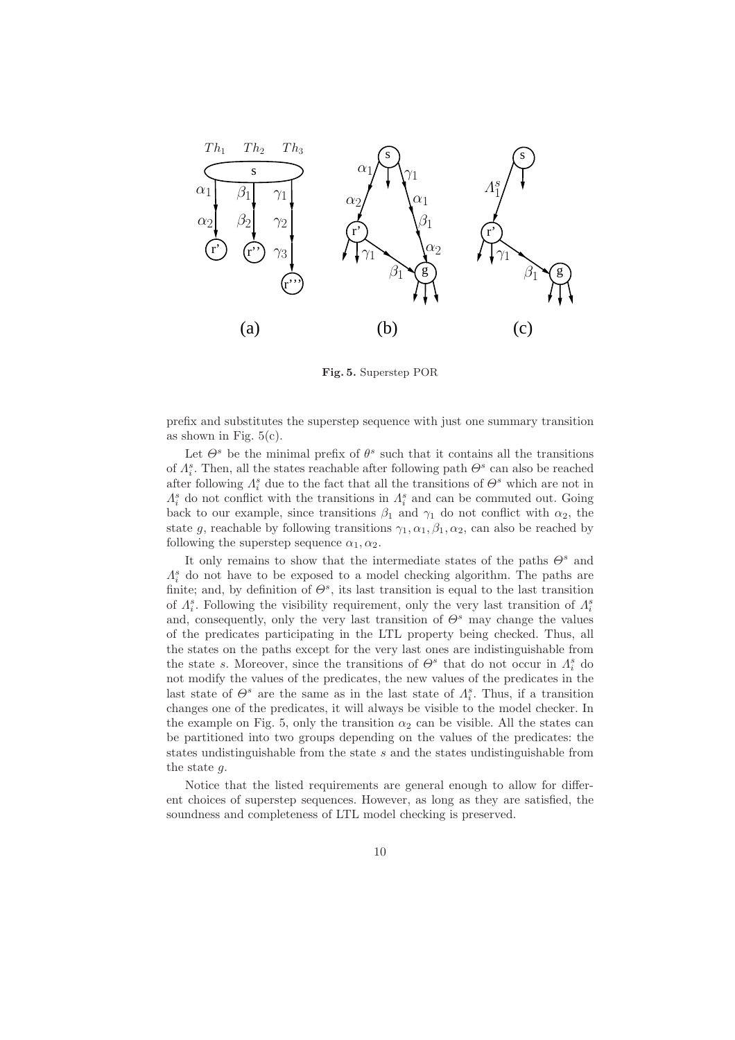

Fig. 5. Superstep POR

prefix and substitutes the superstep sequence with just one summary transition as shown in Fig.  $5(c)$ .

Let  $\Theta^s$  be the minimal prefix of  $\theta^s$  such that it contains all the transitions of  $\Lambda_i^s$ . Then, all the states reachable after following path  $\Theta^s$  can also be reached after following  $\Lambda_i^s$  due to the fact that all the transitions of  $\Theta^s$  which are not in  $\Lambda_i^s$  do not conflict with the transitions in  $\Lambda_i^s$  and can be commuted out. Going back to our example, since transitions  $\beta_1$  and  $\gamma_1$  do not conflict with  $\alpha_2$ , the state g, reachable by following transitions  $\gamma_1, \alpha_1, \beta_1, \alpha_2$ , can also be reached by following the superstep sequence  $\alpha_1, \alpha_2$ .

It only remains to show that the intermediate states of the paths  $\Theta^s$  and  $\Lambda_i^s$  do not have to be exposed to a model checking algorithm. The paths are finite; and, by definition of  $\Theta^s$ , its last transition is equal to the last transition of  $\Lambda_i^s$ . Following the visibility requirement, only the very last transition of  $\Lambda_i^s$ and, consequently, only the very last transition of  $\Theta^s$  may change the values of the predicates participating in the LTL property being checked. Thus, all the states on the paths except for the very last ones are indistinguishable from the state s. Moreover, since the transitions of  $\Theta^s$  that do not occur in  $\Lambda_i^s$  do not modify the values of the predicates, the new values of the predicates in the last state of  $\Theta^s$  are the same as in the last state of  $\Lambda_i^s$ . Thus, if a transition changes one of the predicates, it will always be visible to the model checker. In the example on Fig. 5, only the transition  $\alpha_2$  can be visible. All the states can be partitioned into two groups depending on the values of the predicates: the states undistinguishable from the state  $s$  and the states undistinguishable from the state g.

Notice that the listed requirements are general enough to allow for different choices of superstep sequences. However, as long as they are satisfied, the soundness and completeness of LTL model checking is preserved.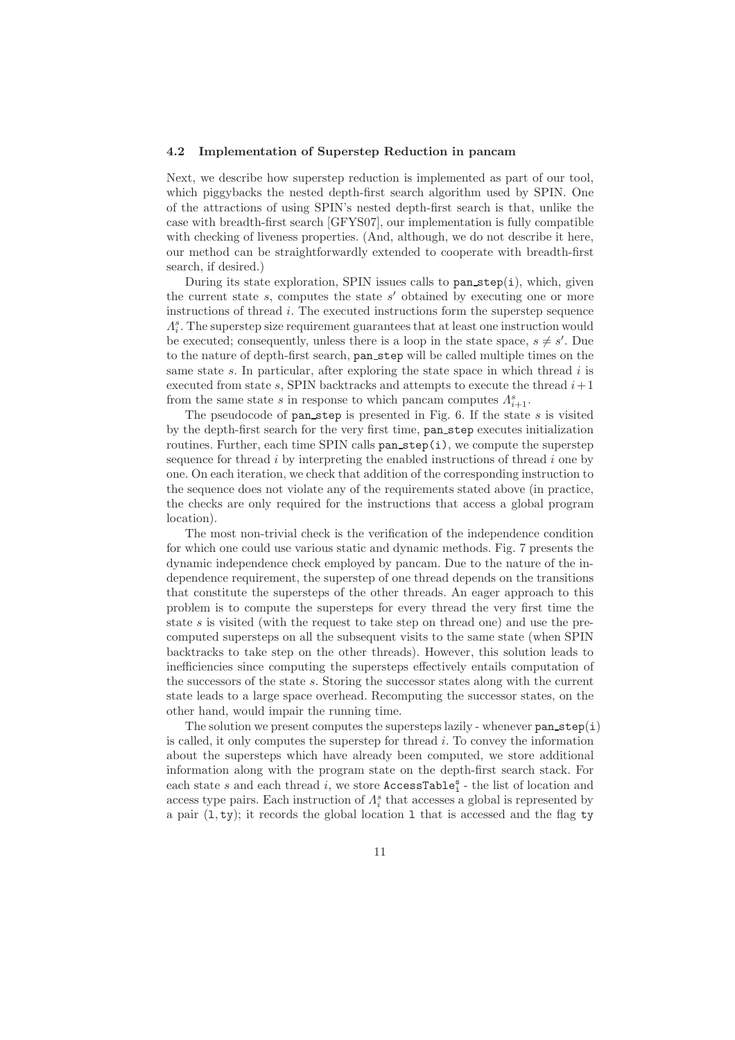#### 4.2 Implementation of Superstep Reduction in pancam

Next, we describe how superstep reduction is implemented as part of our tool, which piggybacks the nested depth-first search algorithm used by SPIN. One of the attractions of using SPIN's nested depth-first search is that, unlike the case with breadth-first search [GFYS07], our implementation is fully compatible with checking of liveness properties. (And, although, we do not describe it here, our method can be straightforwardly extended to cooperate with breadth-first search, if desired.)

During its state exploration, SPIN issues calls to  $pan\_step(i)$ , which, given the current state  $s$ , computes the state  $s'$  obtained by executing one or more instructions of thread  $i$ . The executed instructions form the superstep sequence  $\Lambda_i^s$ . The superstep size requirement guarantees that at least one instruction would be executed; consequently, unless there is a loop in the state space,  $s \neq s'$ . Due to the nature of depth-first search, pan step will be called multiple times on the same state  $s$ . In particular, after exploring the state space in which thread  $i$  is executed from state s, SPIN backtracks and attempts to execute the thread  $i+1$ from the same state s in response to which pancam computes  $\Lambda_{i+1}^s$ .

The pseudocode of pan step is presented in Fig. 6. If the state  $s$  is visited by the depth-first search for the very first time, pan step executes initialization routines. Further, each time SPIN calls  $pan\_step(i)$ , we compute the superstep sequence for thread  $i$  by interpreting the enabled instructions of thread  $i$  one by one. On each iteration, we check that addition of the corresponding instruction to the sequence does not violate any of the requirements stated above (in practice, the checks are only required for the instructions that access a global program location).

The most non-trivial check is the verification of the independence condition for which one could use various static and dynamic methods. Fig. 7 presents the dynamic independence check employed by pancam. Due to the nature of the independence requirement, the superstep of one thread depends on the transitions that constitute the supersteps of the other threads. An eager approach to this problem is to compute the supersteps for every thread the very first time the state s is visited (with the request to take step on thread one) and use the precomputed supersteps on all the subsequent visits to the same state (when SPIN backtracks to take step on the other threads). However, this solution leads to inefficiencies since computing the supersteps effectively entails computation of the successors of the state s. Storing the successor states along with the current state leads to a large space overhead. Recomputing the successor states, on the other hand, would impair the running time.

The solution we present computes the supersteps lazily - whenever  $pan\_step(i)$ is called, it only computes the superstep for thread  $i$ . To convey the information about the supersteps which have already been computed, we store additional information along with the program state on the depth-first search stack. For each state s and each thread i, we store  $\texttt{AccessTable}^s_1$  - the list of location and access type pairs. Each instruction of  $\Lambda_i^s$  that accesses a global is represented by a pair  $(1, \mathsf{ty})$ ; it records the global location 1 that is accessed and the flag ty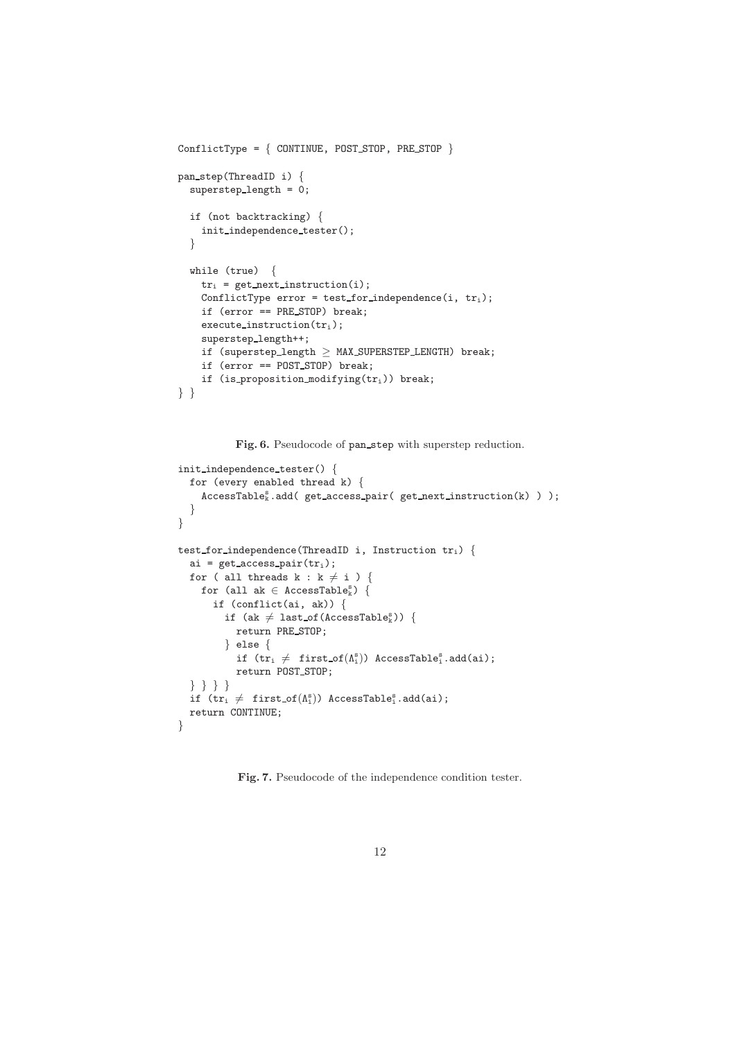```
ConflictType = \{ CONTINUE, POST_STOP, PRE_STOP \}pan_step(ThreadID i) {
  superstep length = 0;
  if (not backtracking) {
    init independence tester();
  }
  while (true) {
    tr_i = get_next_instruction(i);
    ConflictType error = test_for_independence(i, tr_i);
    if (error == PRE STOP) break;
    execute_instruction(tr_i);
    superstep length++;
    \begin{minipage}{.4\linewidth} \emph{if (superstep_length $\ge$ MAX\_SUPERSTEP\_LENGTH) break}; \end{minipage}if (error == POST STOP) break;
    if (is_proposition_modifying(tr_i)) break;
} }
```
Fig. 6. Pseudocode of pan\_step with superstep reduction.

```
init independence tester() {
  for (every enabled thread k) {
     AccessTable<sub>k</sub>.add( get_access_pair( get_next_instruction(k) ) );
   }
}
test_for_independence(ThreadID i, Instruction \mathrm{tr}_i) {
  ai = get\_access\_pair(tr_i);for ( all threads k : k \neq i ) {
     for (all ak \in AccessTable<sub>k</sub>) {
       if (conflict(ai, ak)) {
          if (ak \neq last_of(AccessTable_k^s)) {
            return PRE STOP;
          } else {
             if (\text{tr}_i \neq \text{first_of}(\Lambda_i^s)) AccessTable<sub>i</sub>.add(ai);
            return POST STOP;
  } } } }
   if (tr_i \neq first_of(\Lambda_i^s)) AccessTable<sub>i</sub>.add(ai);
  return CONTINUE;
}
```
Fig. 7. Pseudocode of the independence condition tester.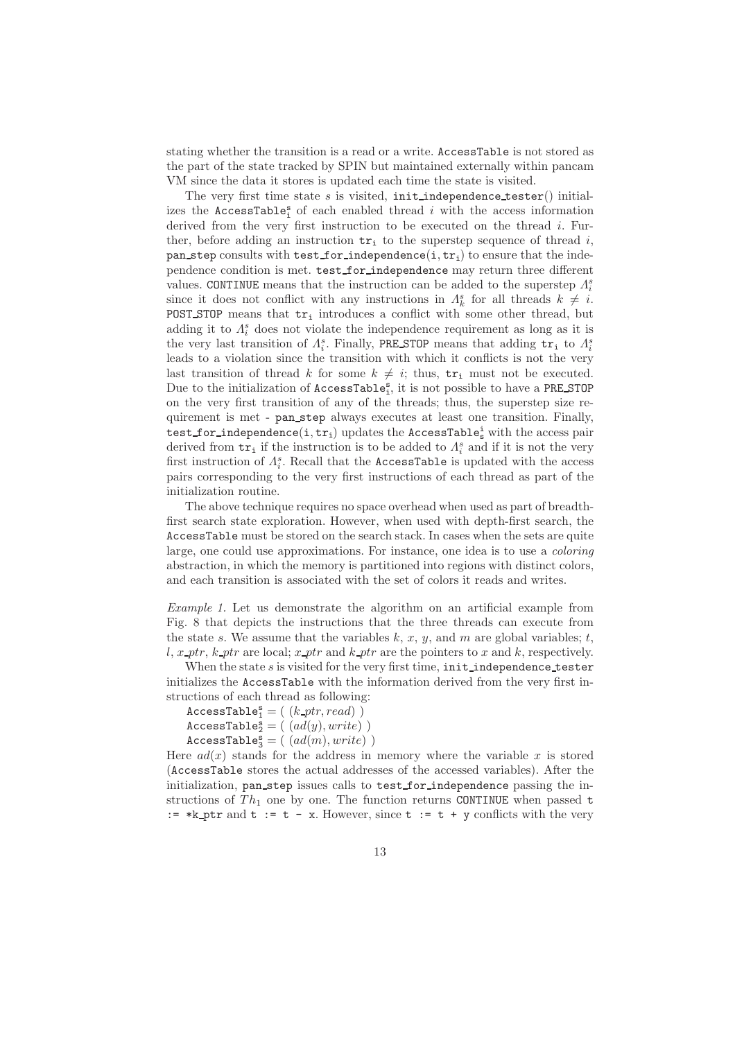stating whether the transition is a read or a write. AccessTable is not stored as the part of the state tracked by SPIN but maintained externally within pancam VM since the data it stores is updated each time the state is visited.

The very first time state  $s$  is visited, init independence tester() initializes the  $\texttt{AccessTable}^s_i$  of each enabled thread i with the access information derived from the very first instruction to be executed on the thread i. Further, before adding an instruction  $tr_i$  to the superstep sequence of thread i, pan step consults with test for independence(i,  $\text{tr}_i$ ) to ensure that the independence condition is met. test for independence may return three different values. CONTINUE means that the instruction can be added to the superstep  $\Lambda_i^s$ since it does not conflict with any instructions in  $\Lambda_k^s$  for all threads  $k \neq i$ . POST STOP means that  $tr_i$  introduces a conflict with some other thread, but adding it to  $\Lambda_i^s$  does not violate the independence requirement as long as it is the very last transition of  $\Lambda_i^s$ . Finally, PRE STOP means that adding  $\mathbf{tr}_i$  to  $\Lambda_i^s$ leads to a violation since the transition with which it conflicts is not the very last transition of thread k for some  $k \neq i$ ; thus,  $tr_i$  must not be executed. Due to the initialization of  $\texttt{AccessTable}^s_i$ , it is not possible to have a PRE STOP on the very first transition of any of the threads; thus, the superstep size requirement is met - pan step always executes at least one transition. Finally, test for independence  $(i, tr_i)$  updates the AccessTable<sup>i</sup>s with the access pair derived from  $\mathbf{tr}_{i}$  if the instruction is to be added to  $\Lambda_{i}^{s}$  and if it is not the very first instruction of  $\Lambda_i^s$ . Recall that the AccessTable is updated with the access pairs corresponding to the very first instructions of each thread as part of the initialization routine.

The above technique requires no space overhead when used as part of breadthfirst search state exploration. However, when used with depth-first search, the AccessTable must be stored on the search stack. In cases when the sets are quite large, one could use approximations. For instance, one idea is to use a coloring abstraction, in which the memory is partitioned into regions with distinct colors, and each transition is associated with the set of colors it reads and writes.

Example 1. Let us demonstrate the algorithm on an artificial example from Fig. 8 that depicts the instructions that the three threads can execute from the state s. We assume that the variables k, x, y, and m are global variables; t, l, x\_ptr, k\_ptr are local; x\_ptr and k\_ptr are the pointers to x and k, respectively.

When the state  $s$  is visited for the very first time,  $init\_independence\_tester$ initializes the AccessTable with the information derived from the very first instructions of each thread as following:

 $\texttt{AccessTable}^{\texttt{s}}_1 = (\texttt{(}k\_ptr, read\texttt{)}$  $\texttt{AccessTable}_2^{\mathbf{s}} = (\textit{(ad(y)},\textit{write}))$  $\texttt{AccessTable}_3^s = (\texttt{(ad(m), write)}')$ 

Here  $ad(x)$  stands for the address in memory where the variable x is stored (AccessTable stores the actual addresses of the accessed variables). After the initialization, pan step issues calls to test for independence passing the instructions of  $Th_1$  one by one. The function returns CONTINUE when passed t := \*k\_ptr and  $t := t - x$ . However, since  $t := t + y$  conflicts with the very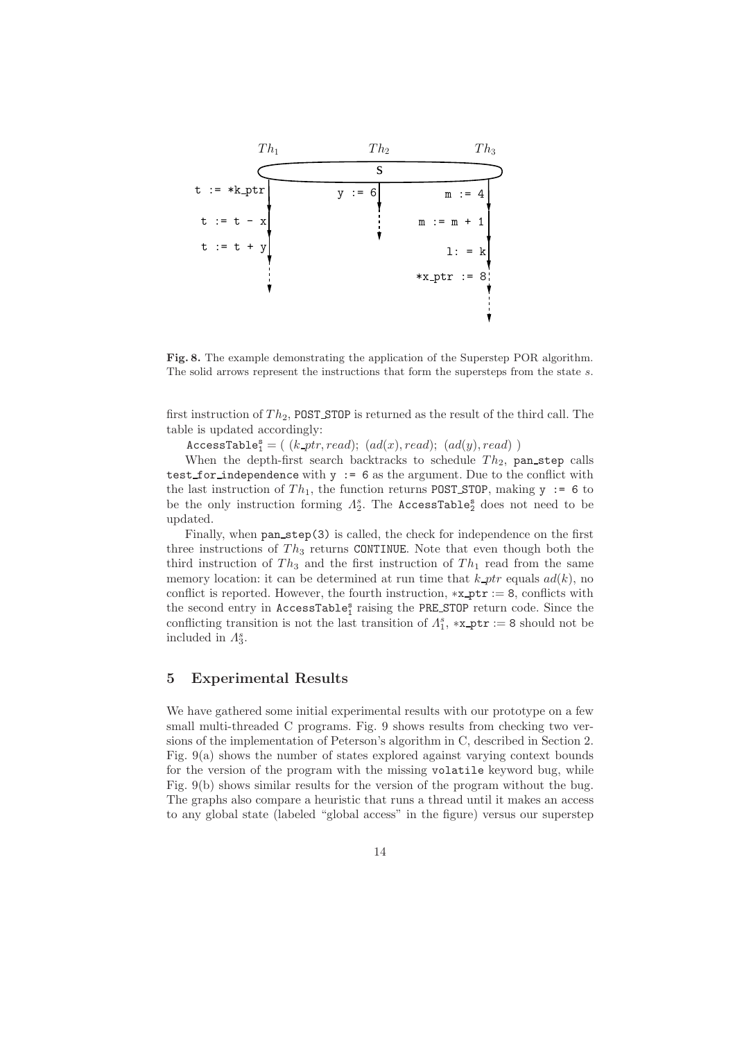

Fig. 8. The example demonstrating the application of the Superstep POR algorithm. The solid arrows represent the instructions that form the supersteps from the state  $s$ .

first instruction of  $Th_2$ , POST\_STOP is returned as the result of the third call. The table is updated accordingly:

 $\texttt{AccessTable}_{1}^{s} = ( (k\_ptr, read); (ad(x), read); (ad(y), read) )$ 

When the depth-first search backtracks to schedule  $Th_2$ , pan step calls test for independence with  $y := 6$  as the argument. Due to the conflict with the last instruction of  $Th_1$ , the function returns POST\_STOP, making y := 6 to be the only instruction forming  $\Lambda_2^s$ . The AccessTable<sub>2</sub> does not need to be updated.

Finally, when pan\_step(3) is called, the check for independence on the first three instructions of  $Th_3$  returns CONTINUE. Note that even though both the third instruction of  $Th_3$  and the first instruction of  $Th_1$  read from the same memory location: it can be determined at run time that  $k\_ptr$  equals  $ad(k)$ , no conflict is reported. However, the fourth instruction,  $*x{\text -}ptr := 8$ , conflicts with the second entry in AccessTable<sup>s</sup> raising the PRE STOP return code. Since the conflicting transition is not the last transition of  $\Lambda_1^s$ , \***x\_ptr** := 8 should not be included in  $\Lambda_3^s$ .

### 5 Experimental Results

We have gathered some initial experimental results with our prototype on a few small multi-threaded C programs. Fig. 9 shows results from checking two versions of the implementation of Peterson's algorithm in C, described in Section 2. Fig. 9(a) shows the number of states explored against varying context bounds for the version of the program with the missing volatile keyword bug, while Fig. 9(b) shows similar results for the version of the program without the bug. The graphs also compare a heuristic that runs a thread until it makes an access to any global state (labeled "global access" in the figure) versus our superstep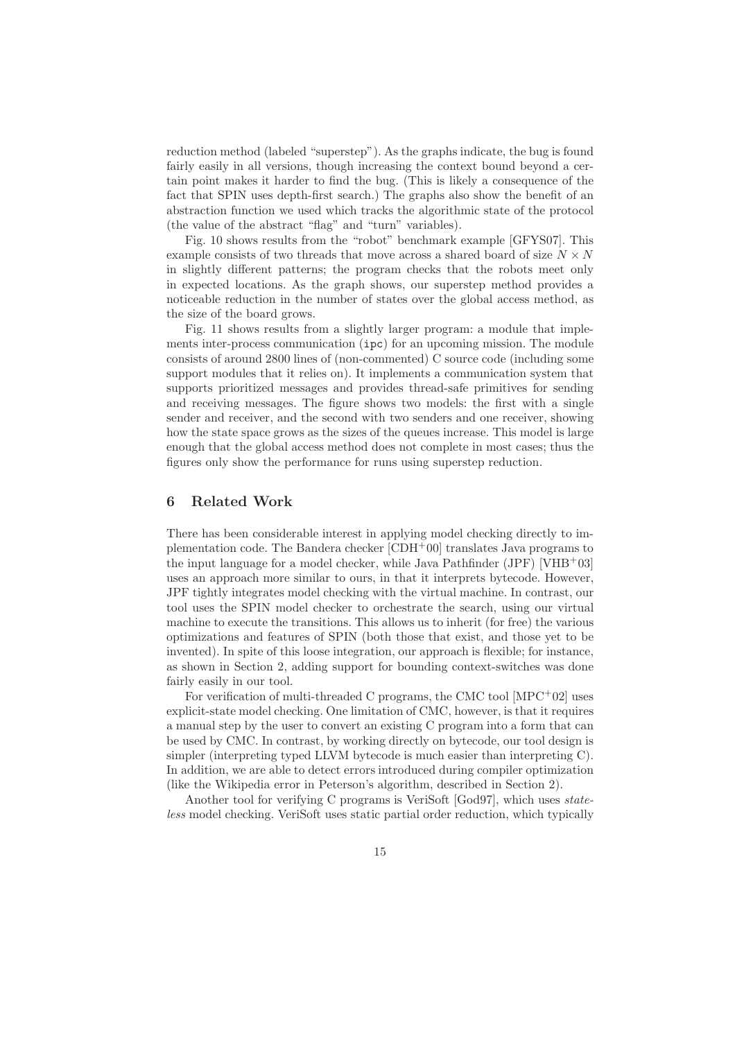reduction method (labeled "superstep"). As the graphs indicate, the bug is found fairly easily in all versions, though increasing the context bound beyond a certain point makes it harder to find the bug. (This is likely a consequence of the fact that SPIN uses depth-first search.) The graphs also show the benefit of an abstraction function we used which tracks the algorithmic state of the protocol (the value of the abstract "flag" and "turn" variables).

Fig. 10 shows results from the "robot" benchmark example [GFYS07]. This example consists of two threads that move across a shared board of size  $N \times N$ in slightly different patterns; the program checks that the robots meet only in expected locations. As the graph shows, our superstep method provides a noticeable reduction in the number of states over the global access method, as the size of the board grows.

Fig. 11 shows results from a slightly larger program: a module that implements inter-process communication (ipc) for an upcoming mission. The module consists of around 2800 lines of (non-commented) C source code (including some support modules that it relies on). It implements a communication system that supports prioritized messages and provides thread-safe primitives for sending and receiving messages. The figure shows two models: the first with a single sender and receiver, and the second with two senders and one receiver, showing how the state space grows as the sizes of the queues increase. This model is large enough that the global access method does not complete in most cases; thus the figures only show the performance for runs using superstep reduction.

### 6 Related Work

There has been considerable interest in applying model checking directly to implementation code. The Bandera checker [CDH<sup>+</sup>00] translates Java programs to the input language for a model checker, while Java Pathfinder  $(JPF)$  [VHB<sup>+</sup>03] uses an approach more similar to ours, in that it interprets bytecode. However, JPF tightly integrates model checking with the virtual machine. In contrast, our tool uses the SPIN model checker to orchestrate the search, using our virtual machine to execute the transitions. This allows us to inherit (for free) the various optimizations and features of SPIN (both those that exist, and those yet to be invented). In spite of this loose integration, our approach is flexible; for instance, as shown in Section 2, adding support for bounding context-switches was done fairly easily in our tool.

For verification of multi-threaded C programs, the CMC tool [MPC<sup>+</sup>02] uses explicit-state model checking. One limitation of CMC, however, is that it requires a manual step by the user to convert an existing C program into a form that can be used by CMC. In contrast, by working directly on bytecode, our tool design is simpler (interpreting typed LLVM bytecode is much easier than interpreting C). In addition, we are able to detect errors introduced during compiler optimization (like the Wikipedia error in Peterson's algorithm, described in Section 2).

Another tool for verifying C programs is VeriSoft [God97], which uses stateless model checking. VeriSoft uses static partial order reduction, which typically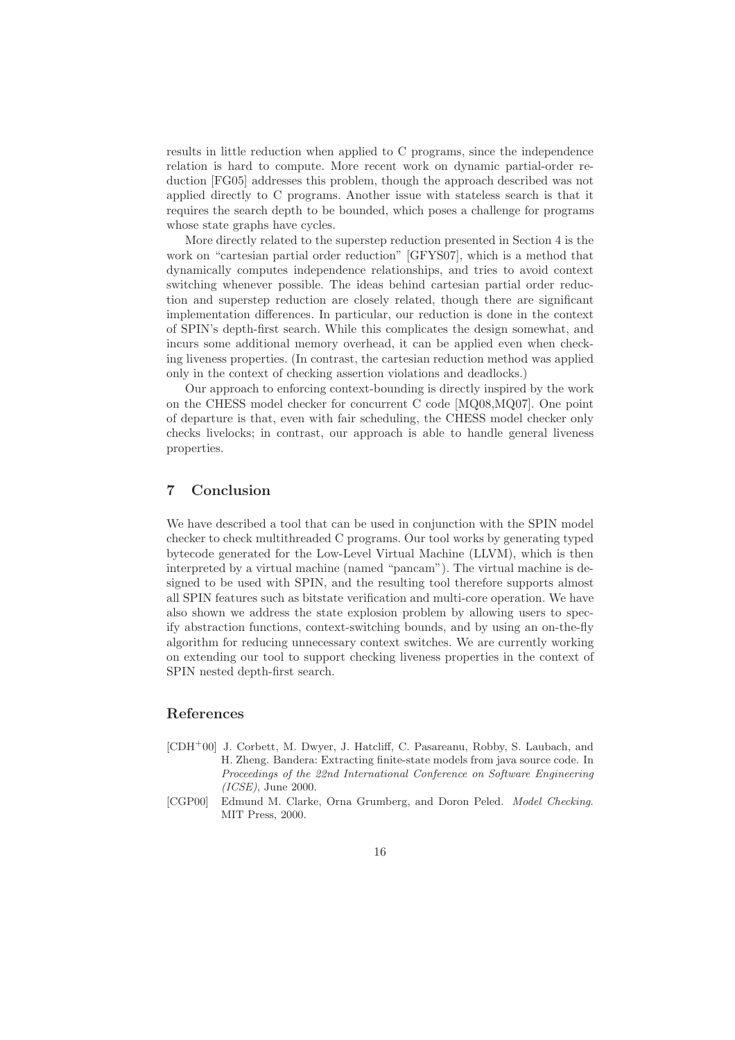results in little reduction when applied to C programs, since the independence relation is hard to compute. More recent work on dynamic partial-order reduction [FG05] addresses this problem, though the approach described was not applied directly to C programs. Another issue with stateless search is that it requires the search depth to be bounded, which poses a challenge for programs whose state graphs have cycles.

More directly related to the superstep reduction presented in Section 4 is the work on "cartesian partial order reduction" [GFYS07], which is a method that dynamically computes independence relationships, and tries to avoid context switching whenever possible. The ideas behind cartesian partial order reduction and superstep reduction are closely related, though there are significant implementation differences. In particular, our reduction is done in the context of SPIN's depth-first search. While this complicates the design somewhat, and incurs some additional memory overhead, it can be applied even when checking liveness properties. (In contrast, the cartesian reduction method was applied only in the context of checking assertion violations and deadlocks.)

Our approach to enforcing context-bounding is directly inspired by the work on the CHESS model checker for concurrent C code [MQ08,MQ07]. One point of departure is that, even with fair scheduling, the CHESS model checker only checks livelocks; in contrast, our approach is able to handle general liveness properties.

### 7 Conclusion

We have described a tool that can be used in conjunction with the SPIN model checker to check multithreaded C programs. Our tool works by generating typed bytecode generated for the Low-Level Virtual Machine (LLVM), which is then interpreted by a virtual machine (named "pancam"). The virtual machine is designed to be used with SPIN, and the resulting tool therefore supports almost all SPIN features such as bitstate verification and multi-core operation. We have also shown we address the state explosion problem by allowing users to specify abstraction functions, context-switching bounds, and by using an on-the-fly algorithm for reducing unnecessary context switches. We are currently working on extending our tool to support checking liveness properties in the context of SPIN nested depth-first search.

# References

- [CDH<sup>+</sup>00] J. Corbett, M. Dwyer, J. Hatcliff, C. Pasareanu, Robby, S. Laubach, and H. Zheng. Bandera: Extracting finite-state models from java source code. In Proceedings of the 22nd International Conference on Software Engineering (ICSE), June 2000.
- [CGP00] Edmund M. Clarke, Orna Grumberg, and Doron Peled. Model Checking. MIT Press, 2000.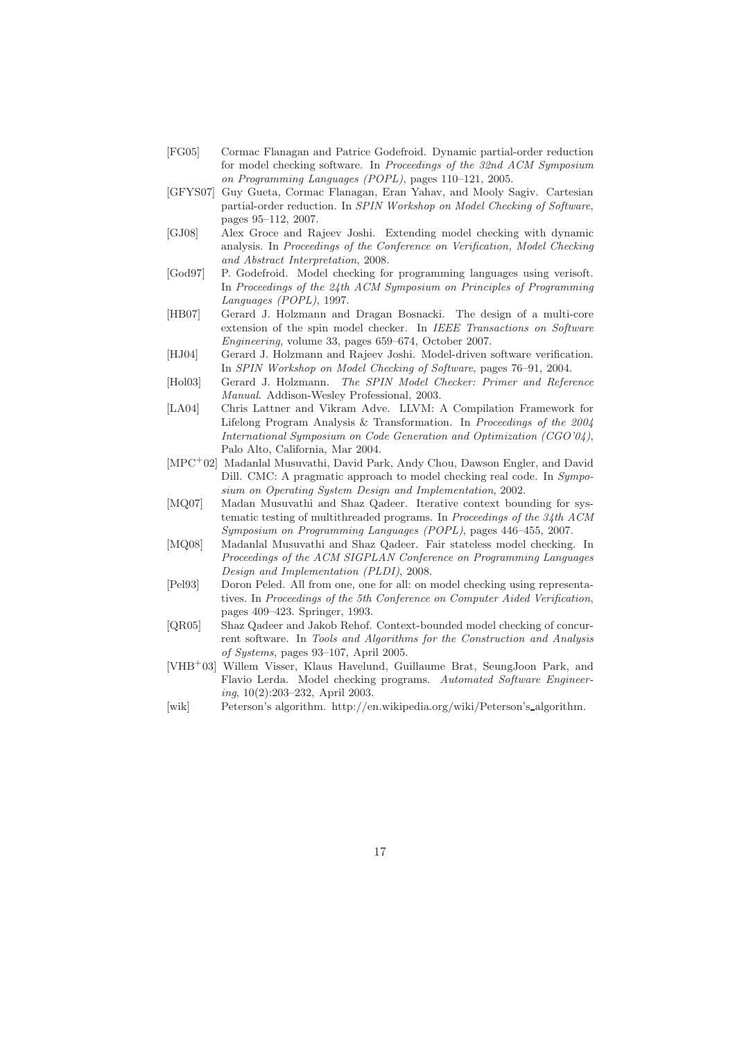- [FG05] Cormac Flanagan and Patrice Godefroid. Dynamic partial-order reduction for model checking software. In Proceedings of the 32nd ACM Symposium on Programming Languages (POPL), pages 110–121, 2005.
- [GFYS07] Guy Gueta, Cormac Flanagan, Eran Yahav, and Mooly Sagiv. Cartesian partial-order reduction. In SPIN Workshop on Model Checking of Software, pages 95–112, 2007.
- [GJ08] Alex Groce and Rajeev Joshi. Extending model checking with dynamic analysis. In Proceedings of the Conference on Verification, Model Checking and Abstract Interpretation, 2008.
- [God97] P. Godefroid. Model checking for programming languages using verisoft. In Proceedings of the 24th ACM Symposium on Principles of Programming Languages (POPL), 1997.
- [HB07] Gerard J. Holzmann and Dragan Bosnacki. The design of a multi-core extension of the spin model checker. In IEEE Transactions on Software Engineering, volume 33, pages 659–674, October 2007.
- [HJ04] Gerard J. Holzmann and Rajeev Joshi. Model-driven software verification. In SPIN Workshop on Model Checking of Software, pages 76–91, 2004.
- [Hol03] Gerard J. Holzmann. The SPIN Model Checker: Primer and Reference Manual. Addison-Wesley Professional, 2003.
- [LA04] Chris Lattner and Vikram Adve. LLVM: A Compilation Framework for Lifelong Program Analysis & Transformation. In Proceedings of the 2004 International Symposium on Code Generation and Optimization (CGO'04), Palo Alto, California, Mar 2004.
- [MPC<sup>+</sup>02] Madanlal Musuvathi, David Park, Andy Chou, Dawson Engler, and David Dill. CMC: A pragmatic approach to model checking real code. In Symposium on Operating System Design and Implementation, 2002.
- [MQ07] Madan Musuvathi and Shaz Qadeer. Iterative context bounding for systematic testing of multithreaded programs. In Proceedings of the 34th ACM Symposium on Programming Languages (POPL), pages 446–455, 2007.
- [MQ08] Madanlal Musuvathi and Shaz Qadeer. Fair stateless model checking. In Proceedings of the ACM SIGPLAN Conference on Programming Languages Design and Implementation (PLDI), 2008.
- [Pel93] Doron Peled. All from one, one for all: on model checking using representatives. In Proceedings of the 5th Conference on Computer Aided Verification, pages 409–423. Springer, 1993.
- [QR05] Shaz Qadeer and Jakob Rehof. Context-bounded model checking of concurrent software. In Tools and Algorithms for the Construction and Analysis of Systems, pages 93–107, April 2005.
- [VHB<sup>+</sup>03] Willem Visser, Klaus Havelund, Guillaume Brat, SeungJoon Park, and Flavio Lerda. Model checking programs. Automated Software Engineering, 10(2):203–232, April 2003.
- [wik] Peterson's algorithm. http://en.wikipedia.org/wiki/Peterson's algorithm.